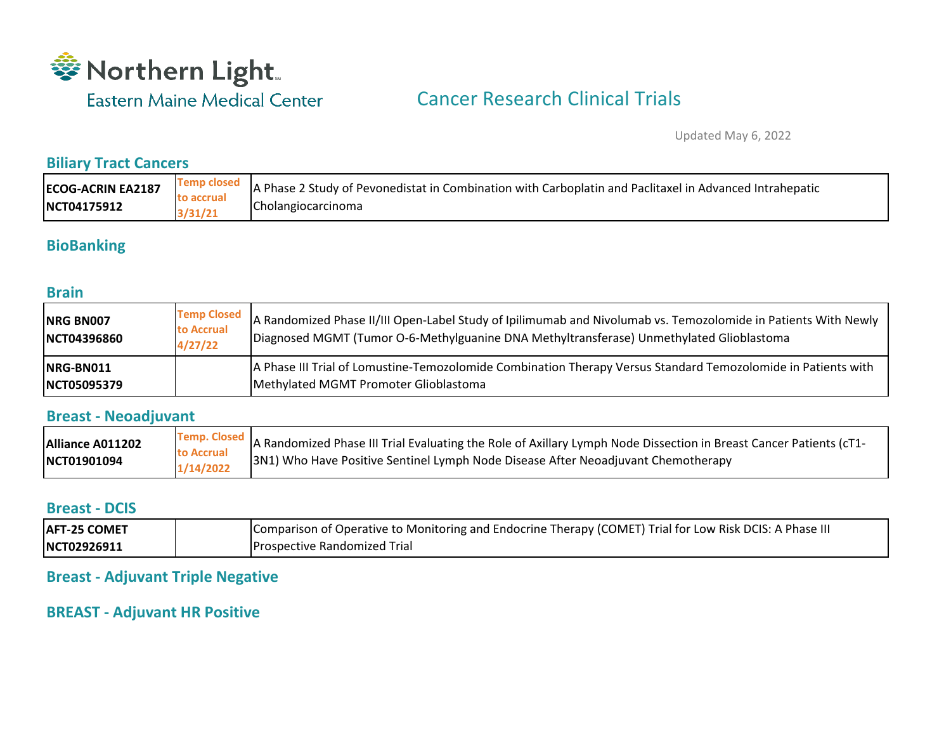

# Cancer Research Clinical Trials

Updated May 6, 2022

#### **Biliary Tract Cancers**

| <b>ECOG-ACRIN EA2187</b> | <b>Temp closed</b> | A Phase 2 Study of Pevonedistat in Combination with Carboplatin and Paclitaxel in Advanced Intrahepatic |
|--------------------------|--------------------|---------------------------------------------------------------------------------------------------------|
|                          | to accrual         | Cholangiocarcinoma                                                                                      |
| NCT04175912              | 3/31/21            |                                                                                                         |

### **BioBanking**

#### **Brain**

| NRG BN007<br>NCT04396860          | <b>Temp Closed</b><br>to Accrual<br>4/27/22 | A Randomized Phase II/III Open-Label Study of Ipilimumab and Nivolumab vs. Temozolomide in Patients With Newly<br>Diagnosed MGMT (Tumor O-6-Methylguanine DNA Methyltransferase) Unmethylated Glioblastoma |
|-----------------------------------|---------------------------------------------|------------------------------------------------------------------------------------------------------------------------------------------------------------------------------------------------------------|
| INRG-BN011<br><b>INCT05095379</b> |                                             | A Phase III Trial of Lomustine-Temozolomide Combination Therapy Versus Standard Temozolomide in Patients with<br>Methylated MGMT Promoter Glioblastoma                                                     |

#### **Breast - Neoadjuvant**

| Alliance A011202 |                         | Temp. Closed A Randomized Phase III Trial Evaluating the Role of Axillary Lymph Node Dissection in Breast Cancer Patients (cT1- |
|------------------|-------------------------|---------------------------------------------------------------------------------------------------------------------------------|
| NCT01901094      | to Accrual<br>1/14/2022 | 3N1) Who Have Positive Sentinel Lymph Node Disease After Neoadjuvant Chemotherapy                                               |

#### **Breast - DCIS**

| <b>AFT-25 COMET</b> | Comparison of Operative to Monitoring and Endocrine Therapy (COMET) Trial for Low Risk DCIS: A Phase III |
|---------------------|----------------------------------------------------------------------------------------------------------|
| NCT02926911         | <b>Prospective Randomized Trial</b>                                                                      |

#### **Breast - Adjuvant Triple Negative**

#### **BREAST - Adjuvant HR Positive**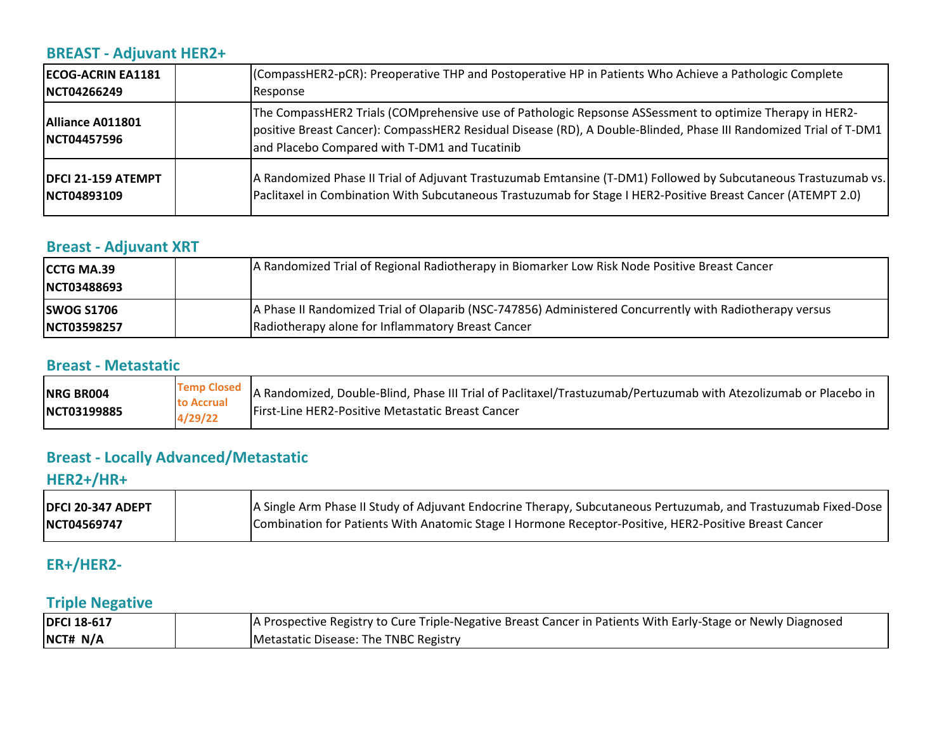## **BREAST - Adjuvant HER2+**

| <b>ECOG-ACRIN EA1181</b>                | (CompassHER2-pCR): Preoperative THP and Postoperative HP in Patients Who Achieve a Pathologic Complete                                                                                                                                                                         |
|-----------------------------------------|--------------------------------------------------------------------------------------------------------------------------------------------------------------------------------------------------------------------------------------------------------------------------------|
| INCT04266249                            | Response                                                                                                                                                                                                                                                                       |
| Alliance A011801<br><b>INCT04457596</b> | The CompassHER2 Trials (COMprehensive use of Pathologic Repsonse ASSessment to optimize Therapy in HER2-<br>positive Breast Cancer): CompassHER2 Residual Disease (RD), A Double-Blinded, Phase III Randomized Trial of T-DM1<br>and Placebo Compared with T-DM1 and Tucatinib |
| <b>DFCI 21-159 ATEMPT</b>               | A Randomized Phase II Trial of Adjuvant Trastuzumab Emtansine (T-DM1) Followed by Subcutaneous Trastuzumab vs.                                                                                                                                                                 |
| <b>INCT04893109</b>                     | Paclitaxel in Combination With Subcutaneous Trastuzumab for Stage I HER2-Positive Breast Cancer (ATEMPT 2.0)                                                                                                                                                                   |

## **Breast - Adjuvant XRT**

| <b>CCTG MA.39</b><br>NCT03488693 | A Randomized Trial of Regional Radiotherapy in Biomarker Low Risk Node Positive Breast Cancer           |
|----------------------------------|---------------------------------------------------------------------------------------------------------|
| <b>SWOG S1706</b>                | A Phase II Randomized Trial of Olaparib (NSC-747856) Administered Concurrently with Radiotherapy versus |
| NCT03598257                      | Radiotherapy alone for Inflammatory Breast Cancer                                                       |

#### **Breast - Metastatic**

| NRG BR004   |                              | Temp Closed   A Randomized, Double-Blind, Phase III Trial of Paclitaxel/Trastuzumab/Pertuzumab with Atezolizumab or Placebo in |
|-------------|------------------------------|--------------------------------------------------------------------------------------------------------------------------------|
| NCT03199885 | <b>to Accrual</b><br>4/29/22 | First-Line HER2-Positive Metastatic Breast Cancer                                                                              |

## **Breast - Locally Advanced/Metastatic**

## **HER2+/HR+**

| <b>DFCI 20-347 ADEPT</b> | A Single Arm Phase II Study of Adjuvant Endocrine Therapy, Subcutaneous Pertuzumab, and Trastuzumab Fixed-Dose |
|--------------------------|----------------------------------------------------------------------------------------------------------------|
| NCT04569747              | Combination for Patients With Anatomic Stage I Hormone Receptor-Positive, HER2-Positive Breast Cancer          |

## **ER+/HER2-**

### **Triple Negative**

| <b>DFCI 18-617</b> | A Prospective Registry to Cure Triple-Negative Breast Cancer in Patients With Early-Stage or Newly Diagnosed |
|--------------------|--------------------------------------------------------------------------------------------------------------|
| NCT# N/A           | Metastatic Disease: The TNBC Registry                                                                        |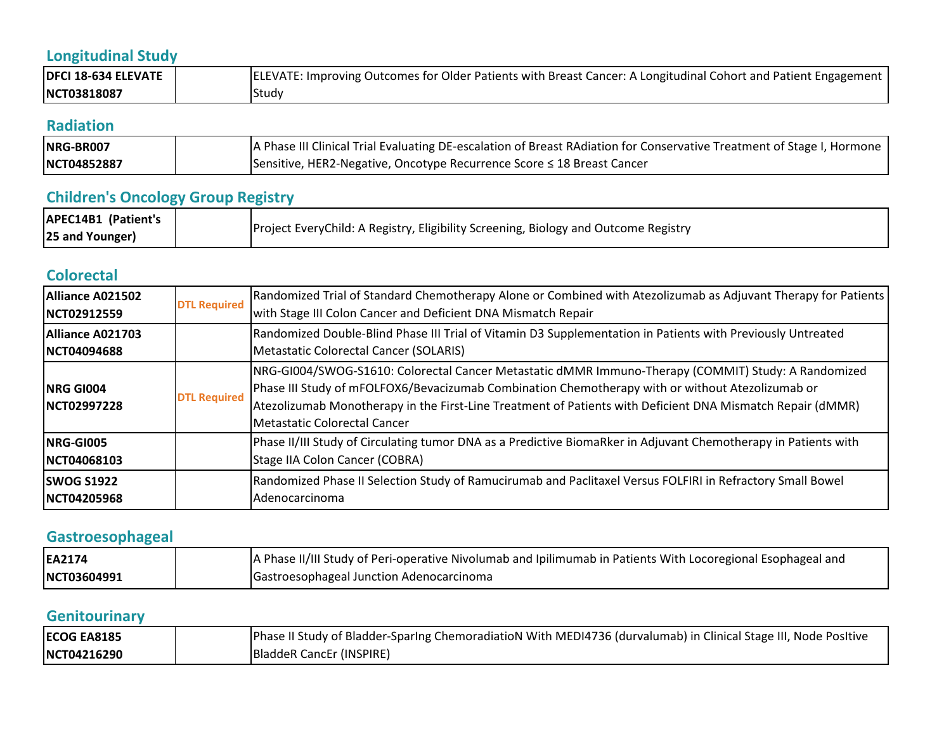# **Longitudinal Study**

| <b>DFCI 18-634 ELEVATE</b> | ELEVATE: Improving Outcomes for Older Patients with Breast Cancer: A Longitudinal Cohort and Patient Engagement |
|----------------------------|-----------------------------------------------------------------------------------------------------------------|
| NCT03818087                | Study                                                                                                           |

#### **Radiation**

| NRG-BR007   | A Phase III Clinical Trial Evaluating DE-escalation of Breast RAdiation for Conservative Treatment of Stage I, Hormone |
|-------------|------------------------------------------------------------------------------------------------------------------------|
| NCT04852887 | Sensitive, HER2-Negative, Oncotype Recurrence Score ≤ 18 Breast Cancer                                                 |

# **Children's Oncology Group Registry**

| <b>APEC14B1 (Patient's</b> |                                                                                     |
|----------------------------|-------------------------------------------------------------------------------------|
| 25 and Younger)            | Project EveryChild: A Registry, Eligibility Screening, Biology and Outcome Registry |

## **Colorectal**

| Alliance A021502<br>INCT02912559        | <b>DTL Required</b> | Randomized Trial of Standard Chemotherapy Alone or Combined with Atezolizumab as Adjuvant Therapy for Patients<br>with Stage III Colon Cancer and Deficient DNA Mismatch Repair                                                                                                                                                                       |
|-----------------------------------------|---------------------|-------------------------------------------------------------------------------------------------------------------------------------------------------------------------------------------------------------------------------------------------------------------------------------------------------------------------------------------------------|
| Alliance A021703<br><b>INCT04094688</b> |                     | Randomized Double-Blind Phase III Trial of Vitamin D3 Supplementation in Patients with Previously Untreated<br>Metastatic Colorectal Cancer (SOLARIS)                                                                                                                                                                                                 |
| <b>INRG GIO04</b><br>NCT02997228        | <b>DTL Required</b> | NRG-GI004/SWOG-S1610: Colorectal Cancer Metastatic dMMR Immuno-Therapy (COMMIT) Study: A Randomized<br>Phase III Study of mFOLFOX6/Bevacizumab Combination Chemotherapy with or without Atezolizumab or<br>Atezolizumab Monotherapy in the First-Line Treatment of Patients with Deficient DNA Mismatch Repair (dMMR)<br>Metastatic Colorectal Cancer |
| <b>INRG-GI005</b><br>NCT04068103        |                     | Phase II/III Study of Circulating tumor DNA as a Predictive BiomaRker in Adjuvant Chemotherapy in Patients with<br>Stage IIA Colon Cancer (COBRA)                                                                                                                                                                                                     |
| <b>SWOG S1922</b><br>NCT04205968        |                     | Randomized Phase II Selection Study of Ramucirumab and Paclitaxel Versus FOLFIRI in Refractory Small Bowel<br>Adenocarcinoma                                                                                                                                                                                                                          |

# **Gastroesophageal**

| EA2174      | A Phase II/III Study of Peri-operative Nivolumab and Ipilimumab in Patients With Locoregional Esophageal and |
|-------------|--------------------------------------------------------------------------------------------------------------|
| NCT03604991 | Gastroesophageal Junction Adenocarcinoma                                                                     |

## **Genitourinary**

| <b>ECOG EA8185</b> | Phase II Study of Bladder-Sparing ChemoradiatioN With MEDI4736 (durvalumab) in Clinical Stage III, Node Positive |
|--------------------|------------------------------------------------------------------------------------------------------------------|
| NCT04216290        | BladdeR CancEr (INSPIRE)                                                                                         |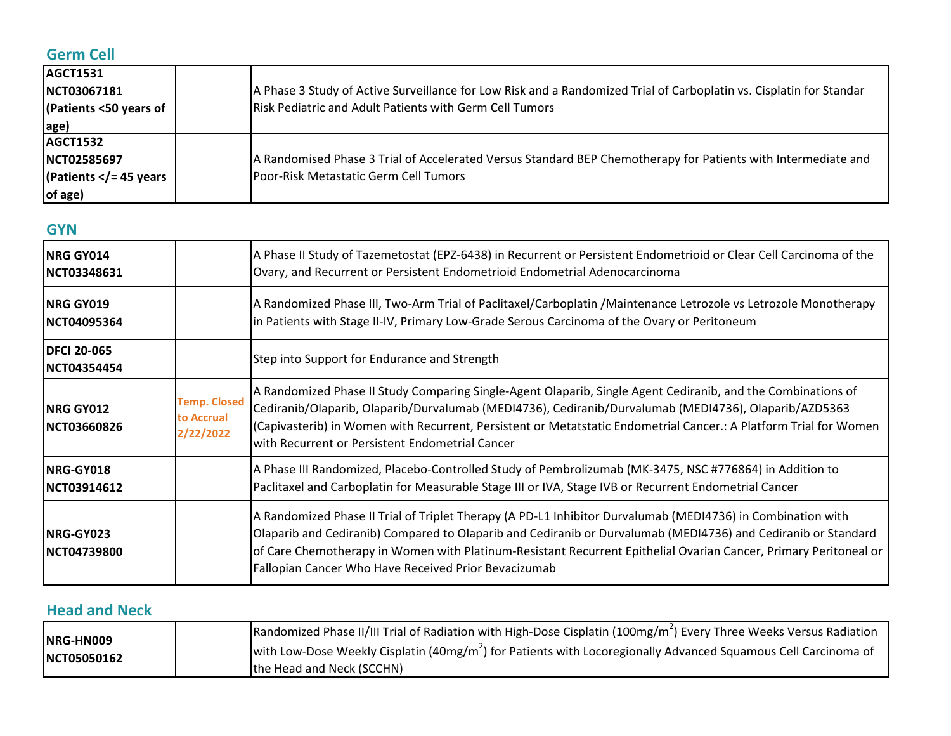# **Germ Cell**

| <b>AGCT1531</b><br>NCT03067181<br>(Patients <50 years of<br>age)                | A Phase 3 Study of Active Surveillance for Low Risk and a Randomized Trial of Carboplatin vs. Cisplatin for Standar<br><b>Risk Pediatric and Adult Patients with Germ Cell Tumors</b> |
|---------------------------------------------------------------------------------|---------------------------------------------------------------------------------------------------------------------------------------------------------------------------------------|
| <b>AGCT1532</b><br><b>NCT02585697</b><br>(Patients $\lt/$ = 45 years<br>of age) | A Randomised Phase 3 Trial of Accelerated Versus Standard BEP Chemotherapy for Patients with Intermediate and<br>Poor-Risk Metastatic Germ Cell Tumors                                |

## **GYN**

| <b>NRG GY014</b><br><b>INCT03348631</b>  |                                                | A Phase II Study of Tazemetostat (EPZ-6438) in Recurrent or Persistent Endometrioid or Clear Cell Carcinoma of the<br>Ovary, and Recurrent or Persistent Endometrioid Endometrial Adenocarcinoma                                                                                                                                                                                                         |
|------------------------------------------|------------------------------------------------|----------------------------------------------------------------------------------------------------------------------------------------------------------------------------------------------------------------------------------------------------------------------------------------------------------------------------------------------------------------------------------------------------------|
| <b>INRG GY019</b><br><b>INCT04095364</b> |                                                | A Randomized Phase III, Two-Arm Trial of Paclitaxel/Carboplatin /Maintenance Letrozole vs Letrozole Monotherapy<br>in Patients with Stage II-IV, Primary Low-Grade Serous Carcinoma of the Ovary or Peritoneum                                                                                                                                                                                           |
| <b>DFCI 20-065</b><br>NCT04354454        |                                                | Step into Support for Endurance and Strength                                                                                                                                                                                                                                                                                                                                                             |
| <b>INRG GY012</b><br><b>INCT03660826</b> | <b>Temp. Closed</b><br>to Accrual<br>2/22/2022 | A Randomized Phase II Study Comparing Single-Agent Olaparib, Single Agent Cediranib, and the Combinations of<br>Cediranib/Olaparib, Olaparib/Durvalumab (MEDI4736), Cediranib/Durvalumab (MEDI4736), Olaparib/AZD5363<br>(Capivasterib) in Women with Recurrent, Persistent or Metatstatic Endometrial Cancer.: A Platform Trial for Women<br>with Recurrent or Persistent Endometrial Cancer            |
| NRG-GY018<br><b>INCT03914612</b>         |                                                | A Phase III Randomized, Placebo-Controlled Study of Pembrolizumab (MK-3475, NSC #776864) in Addition to<br>Paclitaxel and Carboplatin for Measurable Stage III or IVA, Stage IVB or Recurrent Endometrial Cancer                                                                                                                                                                                         |
| <b>NRG-GY023</b><br><b>INCT04739800</b>  |                                                | A Randomized Phase II Trial of Triplet Therapy (A PD-L1 Inhibitor Durvalumab (MEDI4736) in Combination with<br>Olaparib and Cediranib) Compared to Olaparib and Cediranib or Durvalumab (MEDI4736) and Cediranib or Standard<br>of Care Chemotherapy in Women with Platinum-Resistant Recurrent Epithelial Ovarian Cancer, Primary Peritoneal or<br>Fallopian Cancer Who Have Received Prior Bevacizumab |

## **Head and Neck**

| NRG-HN009<br><b>NCT05050162</b> | Randomized Phase II/III Trial of Radiation with High-Dose Cisplatin (100mg/m <sup>2</sup> ) Every Three Weeks Versus Radiation |
|---------------------------------|--------------------------------------------------------------------------------------------------------------------------------|
|                                 | with Low-Dose Weekly Cisplatin (40mg/m <sup>2</sup> ) for Patients with Locoregionally Advanced Squamous Cell Carcinoma of     |
|                                 | the Head and Neck (SCCHN)                                                                                                      |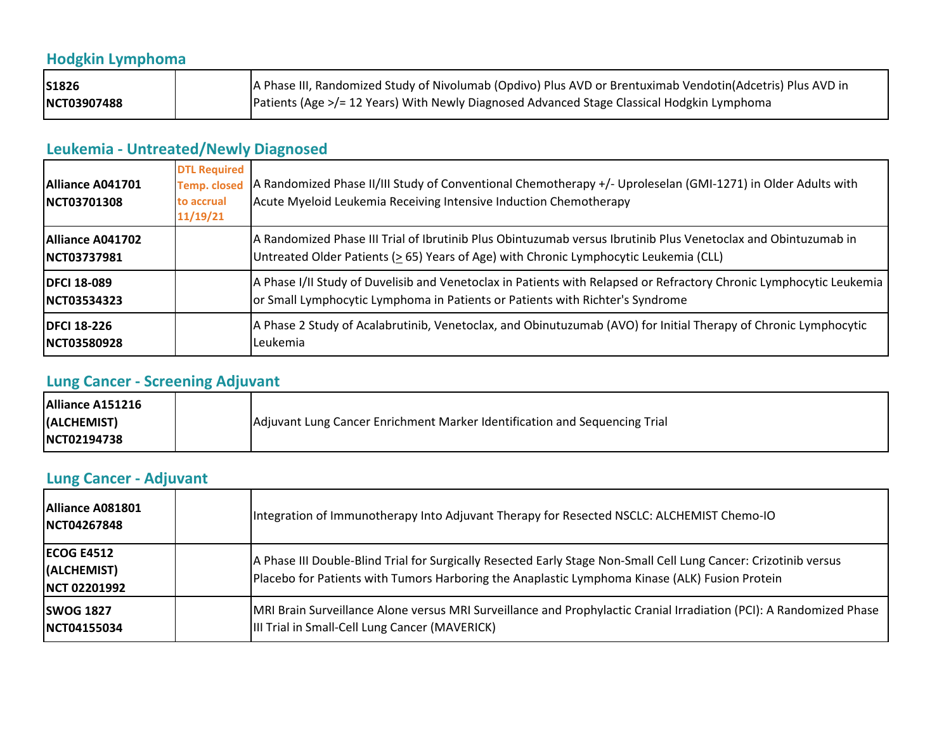# **Hodgkin Lymphoma**

| S1826       | A Phase III, Randomized Study of Nivolumab (Opdivo) Plus AVD or Brentuximab Vendotin(Adcetris) Plus AVD in |
|-------------|------------------------------------------------------------------------------------------------------------|
| NCT03907488 | Patients (Age >/= 12 Years) With Newly Diagnosed Advanced Stage Classical Hodgkin Lymphoma                 |

# **Leukemia - Untreated/Newly Diagnosed**

| Alliance A041701<br><b>INCT03701308</b>        | <b>DTL Required</b><br><b>Temp. closed</b><br>to accrual<br>11/19/21 | A Randomized Phase II/III Study of Conventional Chemotherapy +/- Uproleselan (GMI-1271) in Older Adults with<br>Acute Myeloid Leukemia Receiving Intensive Induction Chemotherapy                       |
|------------------------------------------------|----------------------------------------------------------------------|---------------------------------------------------------------------------------------------------------------------------------------------------------------------------------------------------------|
| <b>Alliance A041702</b><br><b>INCT03737981</b> |                                                                      | A Randomized Phase III Trial of Ibrutinib Plus Obintuzumab versus Ibrutinib Plus Venetoclax and Obintuzumab in<br>Untreated Older Patients (> 65) Years of Age) with Chronic Lymphocytic Leukemia (CLL) |
| <b>IDFCI 18-089</b><br>INCT03534323            |                                                                      | A Phase I/II Study of Duvelisib and Venetoclax in Patients with Relapsed or Refractory Chronic Lymphocytic Leukemia<br>or Small Lymphocytic Lymphoma in Patients or Patients with Richter's Syndrome    |
| <b>IDFCI 18-226</b><br><b>INCT03580928</b>     |                                                                      | A Phase 2 Study of Acalabrutinib, Venetoclax, and Obinutuzumab (AVO) for Initial Therapy of Chronic Lymphocytic<br>Leukemia                                                                             |

## **Lung Cancer - Screening Adjuvant**

| Alliance A151216    |                                                                            |
|---------------------|----------------------------------------------------------------------------|
| (ALCHEMIST)         | Adjuvant Lung Cancer Enrichment Marker Identification and Sequencing Trial |
| <b>INCT02194738</b> |                                                                            |

### **Lung Cancer - Adjuvant**

| Alliance A081801<br>NCT04267848                  | Integration of Immunotherapy Into Adjuvant Therapy for Resected NSCLC: ALCHEMIST Chemo-IO                                                                                                                          |
|--------------------------------------------------|--------------------------------------------------------------------------------------------------------------------------------------------------------------------------------------------------------------------|
| <b>ECOG E4512</b><br>(ALCHEMIST)<br>NCT 02201992 | A Phase III Double-Blind Trial for Surgically Resected Early Stage Non-Small Cell Lung Cancer: Crizotinib versus<br>Placebo for Patients with Tumors Harboring the Anaplastic Lymphoma Kinase (ALK) Fusion Protein |
| <b>SWOG 1827</b><br>NCT04155034                  | MRI Brain Surveillance Alone versus MRI Surveillance and Prophylactic Cranial Irradiation (PCI): A Randomized Phase<br>III Trial in Small-Cell Lung Cancer (MAVERICK)                                              |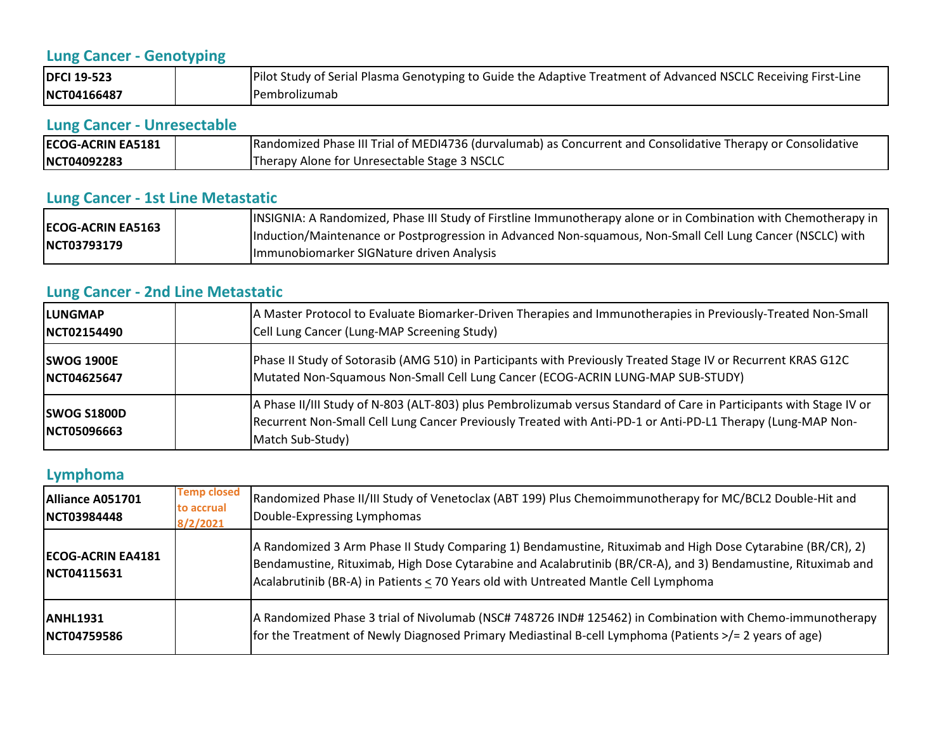# **Lung Cancer - Genotyping**

| <b>DFCI 19-523</b> | Pilot Study of Serial Plasma Genotyping to Guide the Adaptive Treatment of Advanced NSCLC Receiving First-Line |
|--------------------|----------------------------------------------------------------------------------------------------------------|
| NCT04166487        | <b>IPembrolizumab</b>                                                                                          |

## **Lung Cancer - Unresectable**

| <b>ECOG-ACRIN EA5181</b> | Randomized Phase III Trial of MEDI4736 (durvalumab) as Concurrent and Consolidative Therapy or Consolidative |
|--------------------------|--------------------------------------------------------------------------------------------------------------|
| NCT04092283              | Therapy Alone for Unresectable Stage 3 NSCLC                                                                 |

# **Lung Cancer - 1st Line Metastatic**

|                                         | INSIGNIA: A Randomized, Phase III Study of Firstline Immunotherapy alone or in Combination with Chemotherapy in |
|-----------------------------------------|-----------------------------------------------------------------------------------------------------------------|
| <b>ECOG-ACRIN EA5163</b><br>NCT03793179 | Induction/Maintenance or Postprogression in Advanced Non-squamous, Non-Small Cell Lung Cancer (NSCLC) with      |
|                                         | Immunobiomarker SIGNature driven Analysis                                                                       |

# **Lung Cancer - 2nd Line Metastatic**

| <b>ILUNGMAP</b>                           | A Master Protocol to Evaluate Biomarker-Driven Therapies and Immunotherapies in Previously-Treated Non-Small                                                                                                                                           |
|-------------------------------------------|--------------------------------------------------------------------------------------------------------------------------------------------------------------------------------------------------------------------------------------------------------|
| <b>INCT02154490</b>                       | Cell Lung Cancer (Lung-MAP Screening Study)                                                                                                                                                                                                            |
| <b>SWOG 1900E</b>                         | Phase II Study of Sotorasib (AMG 510) in Participants with Previously Treated Stage IV or Recurrent KRAS G12C                                                                                                                                          |
| NCT04625647                               | Mutated Non-Squamous Non-Small Cell Lung Cancer (ECOG-ACRIN LUNG-MAP SUB-STUDY)                                                                                                                                                                        |
| <b>SWOG S1800D</b><br><b>INCT05096663</b> | A Phase II/III Study of N-803 (ALT-803) plus Pembrolizumab versus Standard of Care in Participants with Stage IV or<br>Recurrent Non-Small Cell Lung Cancer Previously Treated with Anti-PD-1 or Anti-PD-L1 Therapy (Lung-MAP Non-<br>Match Sub-Study) |

### **Lymphoma**

| Alliance A051701<br>NCT03984448           | <b>Temp closed</b><br>to accrual<br>8/2/2021 | Randomized Phase II/III Study of Venetoclax (ABT 199) Plus Chemoimmunotherapy for MC/BCL2 Double-Hit and<br>Double-Expressing Lymphomas                                                                                                                                                                             |
|-------------------------------------------|----------------------------------------------|---------------------------------------------------------------------------------------------------------------------------------------------------------------------------------------------------------------------------------------------------------------------------------------------------------------------|
| <b>IECOG-ACRIN EA4181</b><br>INCT04115631 |                                              | A Randomized 3 Arm Phase II Study Comparing 1) Bendamustine, Rituximab and High Dose Cytarabine (BR/CR), 2)<br>Bendamustine, Rituximab, High Dose Cytarabine and Acalabrutinib (BR/CR-A), and 3) Bendamustine, Rituximab and<br>Acalabrutinib (BR-A) in Patients < 70 Years old with Untreated Mantle Cell Lymphoma |
| <b>IANHL1931</b><br><b>NCT04759586</b>    |                                              | A Randomized Phase 3 trial of Nivolumab (NSC# 748726 IND# 125462) in Combination with Chemo-immunotherapy<br>for the Treatment of Newly Diagnosed Primary Mediastinal B-cell Lymphoma (Patients $\ge$ /= 2 years of age)                                                                                            |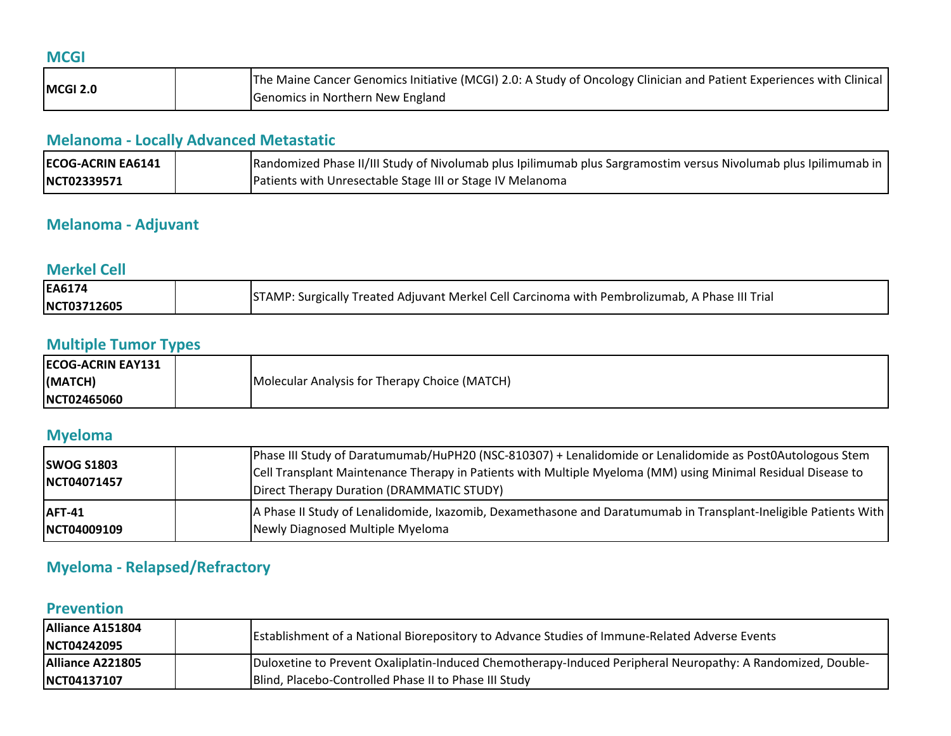| . .                        |
|----------------------------|
|                            |
|                            |
| ×<br>×<br>$\sim$<br>$\sim$ |
|                            |

|                 | The Maine Cancer Genomics Initiative (MCGI) 2.0: A Study of Oncology Clinician and Patient Experiences with Clinical |
|-----------------|----------------------------------------------------------------------------------------------------------------------|
| <b>MCGI 2.0</b> | Genomics in Northern New England                                                                                     |

## **Melanoma - Locally Advanced Metastatic**

| <b>ECOG-ACRIN EA6141</b> | Randomized Phase II/III Study of Nivolumab plus Ipilimumab plus Sargramostim versus Nivolumab plus Ipilimumab in |
|--------------------------|------------------------------------------------------------------------------------------------------------------|
| <b>INCT02339571</b>      | Patients with Unresectable Stage III or Stage IV Melanoma                                                        |

## **Melanoma - Adjuvant**

#### **Merkel Cell**

| EA6174      |                                                                                                |
|-------------|------------------------------------------------------------------------------------------------|
| NCT03712605 | STAMP: Surgically Treated Adjuvant Merkel Cell Carcinoma with Pembrolizumab, A Phase III Trial |

# **Multiple Tumor Types**

| <b>ECOG-ACRIN EAY131</b> |                                               |
|--------------------------|-----------------------------------------------|
| (MATCH)                  | Molecular Analysis for Therapy Choice (MATCH) |
| NCT02465060              |                                               |

#### **Myeloma**

| <b>SWOG S1803</b><br>NCT04071457 | Phase III Study of Daratumumab/HuPH20 (NSC-810307) + Lenalidomide or Lenalidomide as Post0Autologous Stem<br>Cell Transplant Maintenance Therapy in Patients with Multiple Myeloma (MM) using Minimal Residual Disease to<br>Direct Therapy Duration (DRAMMATIC STUDY) |
|----------------------------------|------------------------------------------------------------------------------------------------------------------------------------------------------------------------------------------------------------------------------------------------------------------------|
| <b>AFT-41</b>                    | A Phase II Study of Lenalidomide, Ixazomib, Dexamethasone and Daratumumab in Transplant-Ineligible Patients With                                                                                                                                                       |
| NCT04009109                      | Newly Diagnosed Multiple Myeloma                                                                                                                                                                                                                                       |

# **Myeloma - Relapsed/Refractory**

## **Prevention**

| Alliance A151804<br><b>INCT04242095</b> | Establishment of a National Biorepository to Advance Studies of Immune-Related Adverse Events               |
|-----------------------------------------|-------------------------------------------------------------------------------------------------------------|
| Alliance A221805                        | Duloxetine to Prevent Oxaliplatin-Induced Chemotherapy-Induced Peripheral Neuropathy: A Randomized, Double- |
| <b>INCT04137107</b>                     | Blind, Placebo-Controlled Phase II to Phase III Study                                                       |